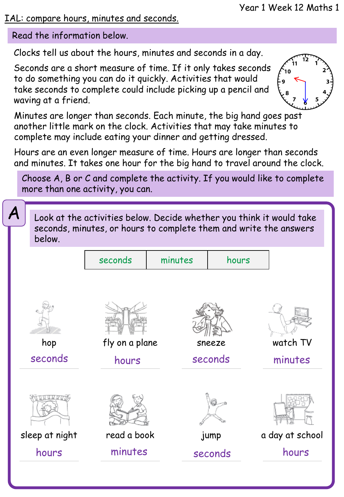#### IAL: compare hours, minutes and seconds.

Read the information below.

Clocks tell us about the hours, minutes and seconds in a day.

Seconds are a short measure of time. If it only takes seconds to do something you can do it quickly. Activities that would take seconds to complete could include picking up a pencil and waving at a friend.



Minutes are longer than seconds. Each minute, the big hand goes past another little mark on the clock. Activities that may take minutes to complete may include eating your dinner and getting dressed.

Hours are an even longer measure of time. Hours are longer than seconds and minutes. It takes one hour for the big hand to travel around the clock.

Choose A, B or C and complete the activity. If you would like to complete more than one activity, you can.

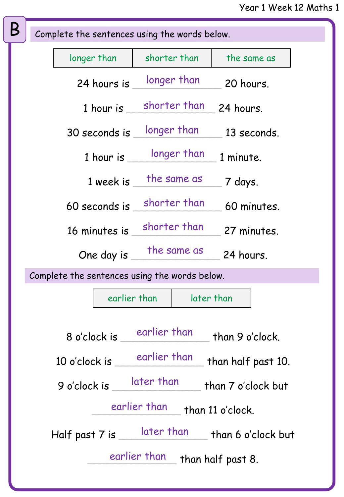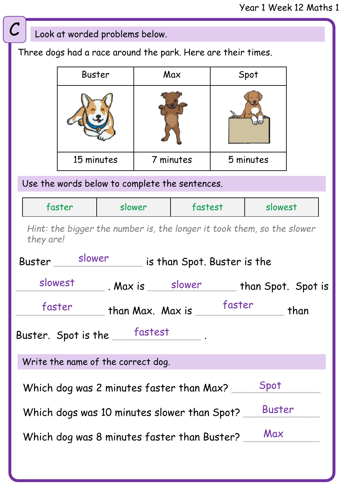# Write the Roman Numeral for each of these numbers. Look at worded problems below. Three dogs had a race around the park. Here are their times. Buster | Max | Spot 15 minutes 7 minutes 5 minutes faster Slower fastest slowest Use the words below to complete the sentences. Buster slower is than Spot. Buster is the \_\_\_\_\_\_\_\_\_\_\_\_\_\_ . Max is \_\_\_\_\_\_\_\_\_\_\_\_\_\_ than Spot. Spot is slowest slower \_\_\_\_\_\_\_\_\_\_\_\_\_\_ than Max. Max is \_\_\_\_\_\_\_\_\_\_\_\_\_\_ than faster faster Buster. Spot is the \_\_\_\_\_\_fastest \_\_\_\_\_\_. *Hint: the bigger the number is, the longer it took them, so the slower they are!*  Write the name of the correct dog. Which dog was 2 minutes faster than Max? Which dogs was 10 minutes slower than Spot? \_ Which dog was 8 minutes faster than Buster? Spot Buster Max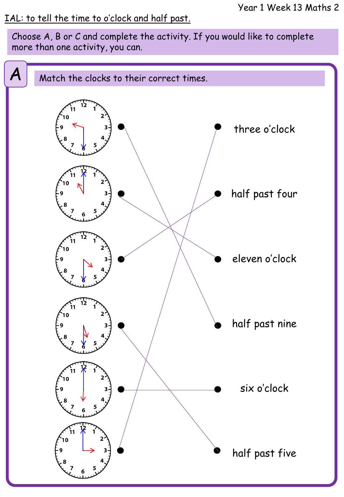### IAL: to tell the time to o'clock and half past.

Choose A, B or C and complete the activity. If you would like to complete more than one activity, you can.

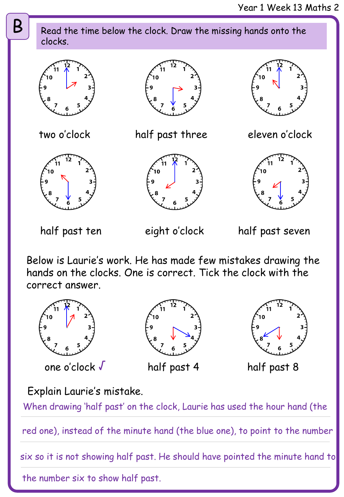two o'clock eleven o'clock half past three  $\mathsf{B}$  Read the time below the clock. Draw the missing hands onto the clocks.

half past ten

eight o'clock

half past seven

Rolew is Leupic's wept Lee hes mede four misteless drewine: Below is Laurie's work. He has made few mistakes drawing the hands on the clocks. One is correct. Tick the clock with the correct answer.



one o'clock √

half past 4 half past 8

Explain Laurie's mistake.

When drawing 'half past' on the clock, Laurie has used the hour hand (the

red one), instead of the minute hand (the blue one), to point to the number

six so it is not showing half past. He should have pointed the minute hand to

the number six to show half past.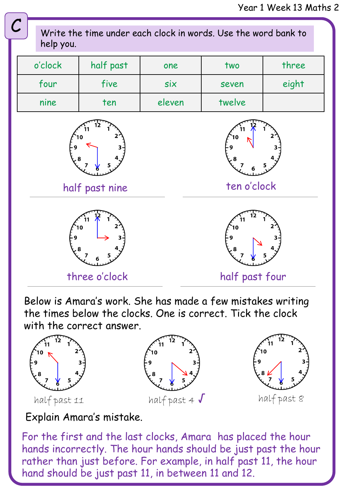

Below is Amara's work. She has made a few mistakes writing the times below the clocks. One is correct. Tick the clock with the correct answer.



Explain Amara's mistake.

For the first and the last clocks, Amara has placed the hour hands incorrectly. The hour hands should be just past the hour rather than just before. For example, in half past 11, the hour hand should be just past 11, in between 11 and 12.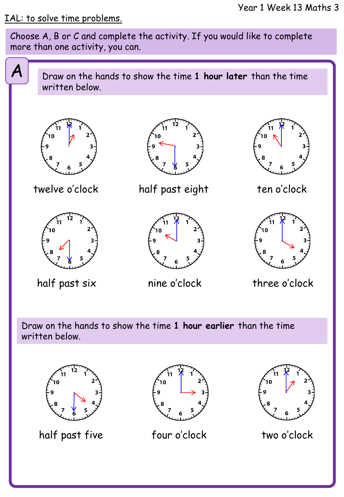#### IAL: to solve time problems.

Choose A, B or C and complete the activity. If you would like to complete more than one activity, you can.



Draw on the hands to show the time **1 hour earlier** than the time written below.



half past five four o'clock two o'clock



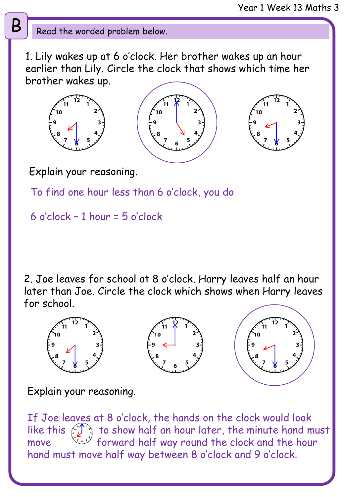## $\mathbf{B} \parallel \mathbf{R}$  Read the worded problem below.

1. Lily wakes up at 6 o'clock. Her brother wakes up an hour earlier than Lily. Circle the clock that shows which time her brother wakes up.





Explain your reasoning.

To find one hour less than 6 o'clock, you do

6 o'clock – 1 hour = 5 o'clock

2. Joe leaves for school at 8 o'clock. Harry leaves half an hour later than Joe. Circle the clock which shows when Harry leaves for school.



Explain your reasoning.

If Joe leaves at 8 o'clock, the hands on the clock would look like this  $\left(\mathcal{L}^{\infty}$  to show half an hour later, the minute hand must move forward half way round the clock and the hour hand must move half way between 8 o'clock and 9 o'clock.